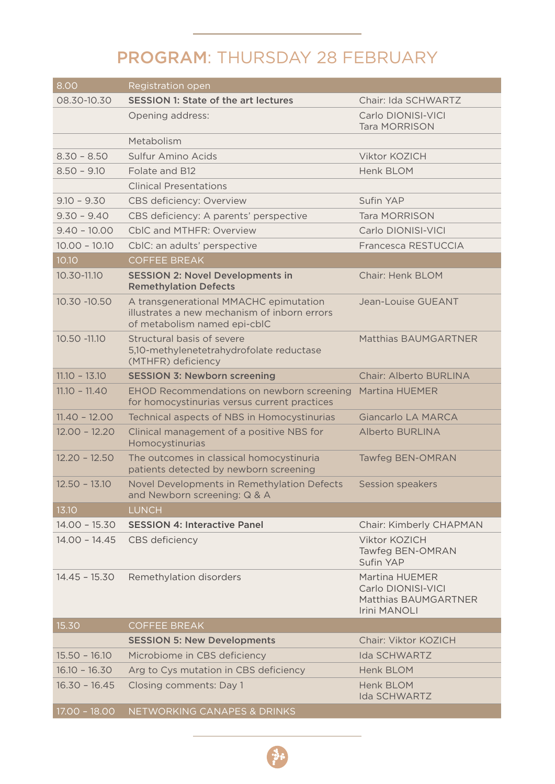## PROGRAM: THURSDAY 28 FEBRUARY

| 8.00            | Registration open                                                                                                      |                                                                                     |
|-----------------|------------------------------------------------------------------------------------------------------------------------|-------------------------------------------------------------------------------------|
| 08.30-10.30     | <b>SESSION 1: State of the art lectures</b>                                                                            | Chair: Ida SCHWARTZ                                                                 |
|                 | Opening address:                                                                                                       | Carlo DIONISI-VICI<br><b>Tara MORRISON</b>                                          |
|                 | Metabolism                                                                                                             |                                                                                     |
| $8.30 - 8.50$   | Sulfur Amino Acids                                                                                                     | <b>Viktor KOZICH</b>                                                                |
| $8.50 - 9.10$   | Folate and B12                                                                                                         | Henk BLOM                                                                           |
|                 | <b>Clinical Presentations</b>                                                                                          |                                                                                     |
| $9.10 - 9.30$   | <b>CBS deficiency: Overview</b>                                                                                        | Sufin YAP                                                                           |
| $9.30 - 9.40$   | CBS deficiency: A parents' perspective                                                                                 | <b>Tara MORRISON</b>                                                                |
| $9.40 - 10.00$  | CbIC and MTHFR: Overview                                                                                               | Carlo DIONISI-VICI                                                                  |
| $10.00 - 10.10$ | CbIC: an adults' perspective                                                                                           | Francesca RESTUCCIA                                                                 |
| 10.10           | <b>COFFEE BREAK</b>                                                                                                    |                                                                                     |
| 10.30-11.10     | <b>SESSION 2: Novel Developments in</b><br><b>Remethylation Defects</b>                                                | Chair: Henk BLOM                                                                    |
| 10.30 - 10.50   | A transgenerational MMACHC epimutation<br>illustrates a new mechanism of inborn errors<br>of metabolism named epi-cblC | Jean-Louise GUEANT                                                                  |
| 10.50 - 11.10   | Structural basis of severe<br>5,10-methylenetetrahydrofolate reductase<br>(MTHFR) deficiency                           | Matthias BAUMGARTNER                                                                |
| $11.10 - 13.10$ | <b>SESSION 3: Newborn screening</b>                                                                                    | <b>Chair: Alberto BURLINA</b>                                                       |
| $11.10 - 11.40$ | EHOD Recommendations on newborn screening<br>for homocystinurias versus current practices                              | Martina HUEMER                                                                      |
| $11.40 - 12.00$ | Technical aspects of NBS in Homocystinurias                                                                            | Giancarlo LA MARCA                                                                  |
| $12.00 - 12.20$ | Clinical management of a positive NBS for<br>Homocystinurias                                                           | <b>Alberto BURLINA</b>                                                              |
| $12.20 - 12.50$ | The outcomes in classical homocystinuria<br>patients detected by newborn screening                                     | <b>Tawfeg BEN-OMRAN</b>                                                             |
| $12.50 - 13.10$ | Novel Developments in Remethylation Defects<br>and Newborn screening: Q & A                                            | Session speakers                                                                    |
| 13.10           | <b>LUNCH</b>                                                                                                           |                                                                                     |
| $14.00 - 15.30$ | <b>SESSION 4: Interactive Panel</b>                                                                                    | Chair: Kimberly CHAPMAN                                                             |
| $14.00 - 14.45$ | CBS deficiency                                                                                                         | Viktor KOZICH<br>Tawfeg BEN-OMRAN<br>Sufin YAP                                      |
| $14.45 - 15.30$ | Remethylation disorders                                                                                                | Martina HUEMER<br>Carlo DIONISI-VICI<br>Matthias BAUMGARTNER<br><b>Irini MANOLI</b> |
| 15.30           | <b>COFFEE BREAK</b>                                                                                                    |                                                                                     |
|                 | <b>SESSION 5: New Developments</b>                                                                                     | Chair: Viktor KOZICH                                                                |
| $15.50 - 16.10$ | Microbiome in CBS deficiency                                                                                           | <b>Ida SCHWARTZ</b>                                                                 |
| $16.10 - 16.30$ | Arg to Cys mutation in CBS deficiency                                                                                  | <b>Henk BLOM</b>                                                                    |
| $16.30 - 16.45$ | Closing comments: Day 1                                                                                                | Henk BLOM<br><b>Ida SCHWARTZ</b>                                                    |
| $17.00 - 18.00$ | NETWORKING CANAPES & DRINKS                                                                                            |                                                                                     |